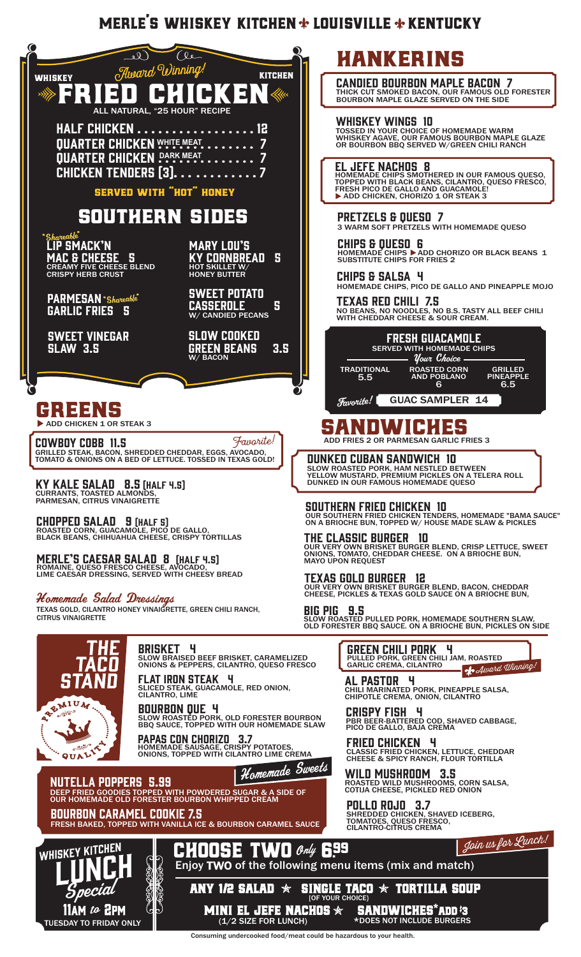# MERLE'S WHISKEY KITCHEN  $*$  LOUISVILLE  $*$  KENTUCKY



# HANKERINS

**CANDIED BOURBON MAPLE BACON 7**<br>THICK CUT SMOKED BACON, OUR FAMOUS OLD FORESTER THICK CUT SMOKED BACON, OUR FAMOUS OLD FORESTER BOURBON MAPLE GLAZE SERVED ON THE SIDE

#### WHISKEY WINGS 10

TOSSED IN YOUR CHOICE OF HOMEMADE WARM WHISKEY AGAVE, OUR FAMOUS BOURBON MAPLE GLAZE OR BOURBON BBQ SERVED W/GREEN CHILI RANCH

**EL JEFE NACHOS 8**<br>HOMEMADE CHIPS SMOTHERED IN OUR FAMOUS QUESO,<br>TOPPED WITH BLACK BEANS, CILANTRO, QUESO FRESCO,<br>FRESH PICO DE GALLO AND GUACAMOLE! ADD CHICKEN, CHORIZO 1 OR STEAK 3

PRETZELS & QUESO 7 3 WARM SOFT PRETZELS WITH HOMEMADE QUESO

CHIPS & QUESO 6 HOMEMADE CHIPS ▶ ADD CHORIZO OR BLACK BEANS 1<br>SUBSTITUTE CHIPS FOR FRIES 2

CHIPS & SALSA 4 HOMEMADE CHIPS, PICO DE GALLO AND PINEAPPLE MOJO

TEXAS RED CHILI 7.5 NO BEANS, NO NOODLES, NO B.S. TASTY ALL BEEF CHILI WITH CHEDDAR CHEESE & SOUR CREAM.



# **SANDWICHES**

ADD FRIES 2 OR PARMESAN GARLIC FRIES 3

DUNKED CUBAN SANDWICH 10 SLOW ROASTED PORK, HAM NESTLED BETWEEN<br>YELLOW MUSTARD, PREMIUM PICKLES ON A TELERA ROLL<br>DUNKED IN OUR FAMOUS HOMEMADE QUESO

SOUTHERN FRIED CHICKEN 10 OUR SOUTHERN FRIED CHICKEN TENDERS, HOMEMADE "BAMA SAUCE" ON A BRIOCHE BUN, TOPPED W/ HOUSE MADE SLAW & PICKLES

**THE CLASSIC BURGER 10**<br>Our very own brisket burger blend, crisp lettuce, sweet<br>Onions, tomato, cheddar cheese. On a brioche bun,<br>mayo upon request

TEXAS GOLD BURGER 12 OUR VERY OWN BRISKET BURGER BLEND, BACON, CHEDDAR CHEESE, PICKLES & TEXAS GOLD SAUCE ON A BRIOCHE BUN,

BIG PIG 9.5 SLOW ROASTED PULLED PORK, HOMEMADE SOUTHERN SLAW, OLD FORESTER BBQ SAUCE. ON A BRIOCHE BUN, PICKLES ON SIDE

> **GREEN CHILI PORK 4**<br>Pulled Pork, green chili jam, roasted<br>garlic crema, cilantro Award Winning!

AL PASTOR 4 CHILI MARINATED PORK, PINEAPPLE SALSA, CHIPOTLE CREMA, ONION, CILANTRO

CRISPY FISH 4 PBR BEER-BATTERED COD, SHAVED CABBAGE, PICO DE GALLO, BAJA CREMA

**FRIED CHICKEN Y**<br>CLASSIC FRIED CHICKEN, LETTUCE, CHEDDAR<br>CHEESE & SPICY RANCH, FLOUR TORTILLA

**WILD MUSHROOM 3.5**<br>ROASTED WILD MUSHROOMS, CORN SALSA,<br>COTIJA CHEESE, PICKLED RED ONION

**POLLO ROJO 3.7**<br>SHREDDED CHICKEN, SHAVED ICEBERG,<br>TOMATOES, QUESO FRESCO,<br>CILANTRO-CITRUS CREMA





Enjoy TWO of the following menu items (mix and match)

ANY 1/2 SALAD  $\, \ast \,$  single taco  $\, \ast \,$  tortilla soup MINI EL JEFE NACHOS  $\star$  sandwiches\*add  $\mathbf{\ddot{s}}$ **SINGLE TACO** 

Consuming undercooked food/meat could be hazardous to your health.